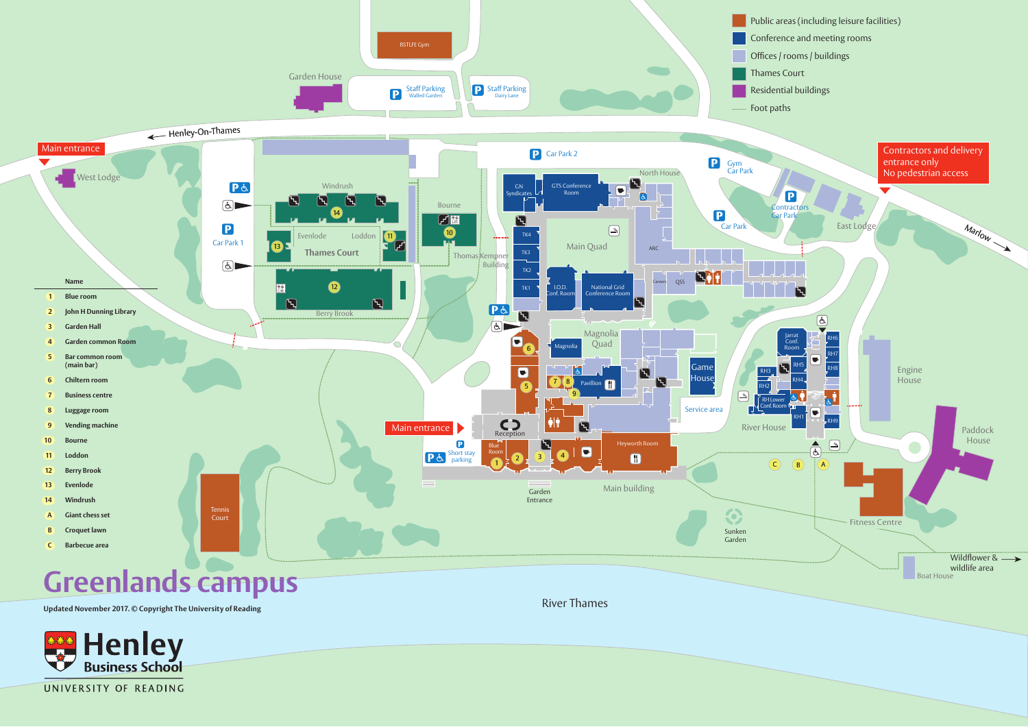

UNIVERSITY OF READING